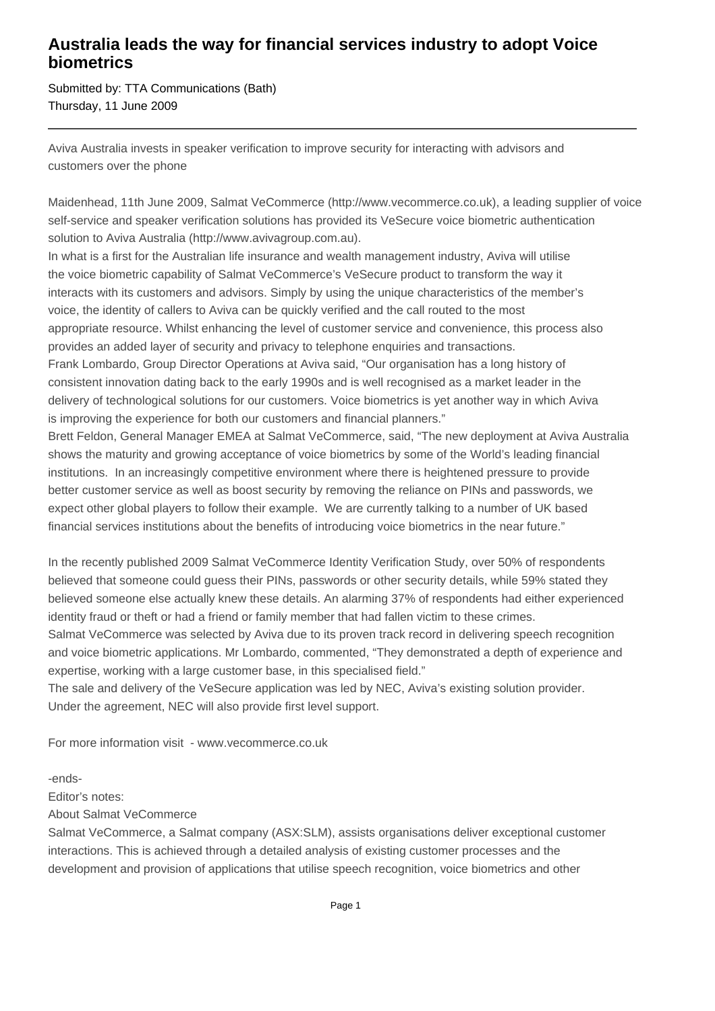## **Australia leads the way for financial services industry to adopt Voice biometrics**

Submitted by: TTA Communications (Bath) Thursday, 11 June 2009

Aviva Australia invests in speaker verification to improve security for interacting with advisors and customers over the phone

Maidenhead, 11th June 2009, Salmat VeCommerce (http://www.vecommerce.co.uk), a leading supplier of voice self-service and speaker verification solutions has provided its VeSecure voice biometric authentication solution to Aviva Australia (http://www.avivagroup.com.au).

In what is a first for the Australian life insurance and wealth management industry, Aviva will utilise the voice biometric capability of Salmat VeCommerce's VeSecure product to transform the way it interacts with its customers and advisors. Simply by using the unique characteristics of the member's voice, the identity of callers to Aviva can be quickly verified and the call routed to the most appropriate resource. Whilst enhancing the level of customer service and convenience, this process also provides an added layer of security and privacy to telephone enquiries and transactions.

Frank Lombardo, Group Director Operations at Aviva said, "Our organisation has a long history of consistent innovation dating back to the early 1990s and is well recognised as a market leader in the delivery of technological solutions for our customers. Voice biometrics is yet another way in which Aviva is improving the experience for both our customers and financial planners."

Brett Feldon, General Manager EMEA at Salmat VeCommerce, said, "The new deployment at Aviva Australia shows the maturity and growing acceptance of voice biometrics by some of the World's leading financial institutions. In an increasingly competitive environment where there is heightened pressure to provide better customer service as well as boost security by removing the reliance on PINs and passwords, we expect other global players to follow their example. We are currently talking to a number of UK based financial services institutions about the benefits of introducing voice biometrics in the near future."

In the recently published 2009 Salmat VeCommerce Identity Verification Study, over 50% of respondents believed that someone could guess their PINs, passwords or other security details, while 59% stated they believed someone else actually knew these details. An alarming 37% of respondents had either experienced identity fraud or theft or had a friend or family member that had fallen victim to these crimes. Salmat VeCommerce was selected by Aviva due to its proven track record in delivering speech recognition and voice biometric applications. Mr Lombardo, commented, "They demonstrated a depth of experience and expertise, working with a large customer base, in this specialised field."

The sale and delivery of the VeSecure application was led by NEC, Aviva's existing solution provider. Under the agreement, NEC will also provide first level support.

For more information visit - www.vecommerce.co.uk

-ends-

Editor's notes:

About Salmat VeCommerce

Salmat VeCommerce, a Salmat company (ASX:SLM), assists organisations deliver exceptional customer interactions. This is achieved through a detailed analysis of existing customer processes and the development and provision of applications that utilise speech recognition, voice biometrics and other